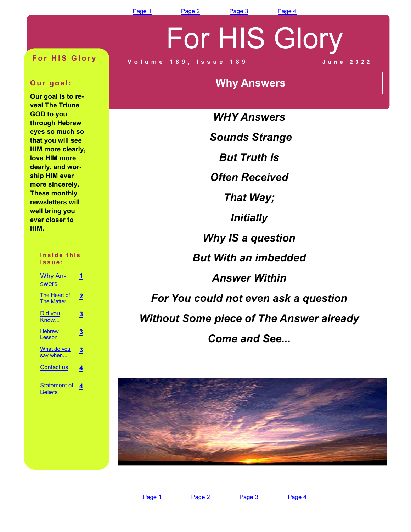# For HIS Glory

#### **For HIS Glory**

#### **Our goal:**

**Our goal is to reveal The Triune GOD to you through Hebrew eyes so much so that you will see HIM more clearly: love HIM more dearly: and worship HIM ever more sincerely. These monthly newsletters will well bring you ever closer to HIM.** 

#### Inside this **i s s u e :**

| Why An-<br><b>swers</b>           |                         |
|-----------------------------------|-------------------------|
| The Heart of<br><b>The Matter</b> | 2                       |
| Did you<br>Know                   | $\overline{\mathbf{3}}$ |
| <b>Hebrew</b><br>Lesson           | 3                       |
| What do you<br>say when           | З                       |
| <b>Contact us</b>                 | 4                       |
| Statement of<br><b>Beliefs</b>    | 4                       |

**V o l u m e 1 8 9 : I s s u e 1 8 9 J u n e 2 0 2 2** 

### **Why Answers**

*WHY Answers Sounds Strange But Truth Is Often Received That Way; Initially Why IS a question But With an imbedded Answer Within For You could not even ask a question Without Some piece of The Answer already Come and See...*

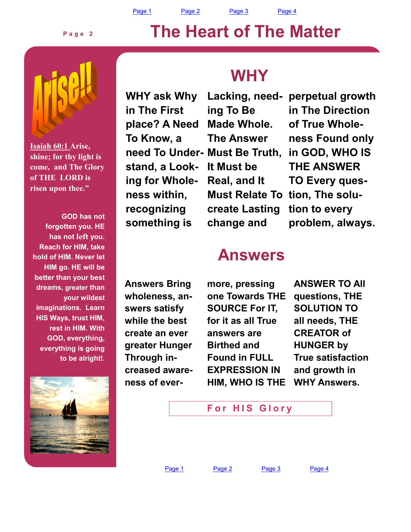Page 1 Page 2 Page 3 Page 4

#### **P a g e 2**



**Isaiah 60:1 Arise, shine; for thy light is come, and The Glory of THE LORD is risen upon thee."**

**GOD has not forgotten you. HE has not left you. Reach for HIM: take hold of HIM. Never let HIM go. HE will be better than your best dreams: greater than your wildest imaginations. Learn HIS Ways: trust HIM: rest in HIM. With GOD: everything: everything is going to be alright!.** 

### **WHY**

**The Heart of The Matter** 

**WHY ask Why in The First place? A Need To Know: a need To Under-Must Be Truth:**  stand, a Look**ing for Wholeness within: recognizing something is** 

**Lacking: needing To Be Made Whole. The Answer It Must be Real: and It Must Relate To tion: The solucreate Lasting change and** 

**perpetual growth in The Direction of True Wholeness Found only in GOD: WHO IS THE ANSWER TO Every question to every problem: always.** 

### **Answers**

**Answers Bring**  wholeness, an**swers satisfy while the best create an ever greater Hunger Through increased awareness of ever-** **more: pressing one Towards THE SOURCE For IT, for it as all True answers are Birthed and Found in FULL EXPRESSION IN HIM: WHO IS THE** 

**ANSWER TO All questions: THE SOLUTION TO all needs: THE CREATOR of HUNGER by True satisfaction and growth in WHY Answers.** 

**For HIS Glory** 

Page 1 Page 2 Page 3 Page 4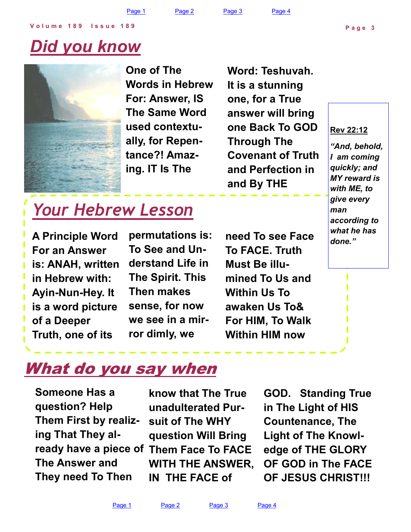Page 1 Page 2 Page 3 Page 4

## *Did you know*



**One of The Words in Hebrew For: Answer, IS The Same Word used contextually: for Repentance?! Amazing. IT Is The** 

**Word: Teshuvah. It is a stunning one: for a True answer will bring one Back To GOD Through The Covenant of Truth and Perfection in and By THE** 

#### **Rev 22:12**

**P a g e 3** 

*"And, behold, I am coming quickly; and MY reward is with ME, to give every man according to what he has done."*

### *Your Hebrew Lesson*

**A Principle Word For an Answer is: ANAH: written in Hebrew with: Ayin-Nun-Hey. It is a word picture of a Deeper Truth: one of its** 

**permutations is: To See and Understand Life in The Spirit. This Then makes sense: for now we see in a mirror dimly: we** 

**need To see Face To FACE. Truth Must Be illumined To Us and Within Us To awaken Us To& For HIM: To Walk Within HIM now** 

### What do you say when

**Them Face To FACE ready have a piece of Someone Has a question? Help Them First by realizing That They al-The Answer and They need To Then** 

**know that The True unadulterated Pursuit of The WHY question Will Bring WITH THE ANSWER: IN THE FACE of** 

**GOD. Standing True in The Light of HIS Countenance: The Light of The Knowledge of THE GLORY OF GOD in The FACE OF JESUS CHRIST!!!**